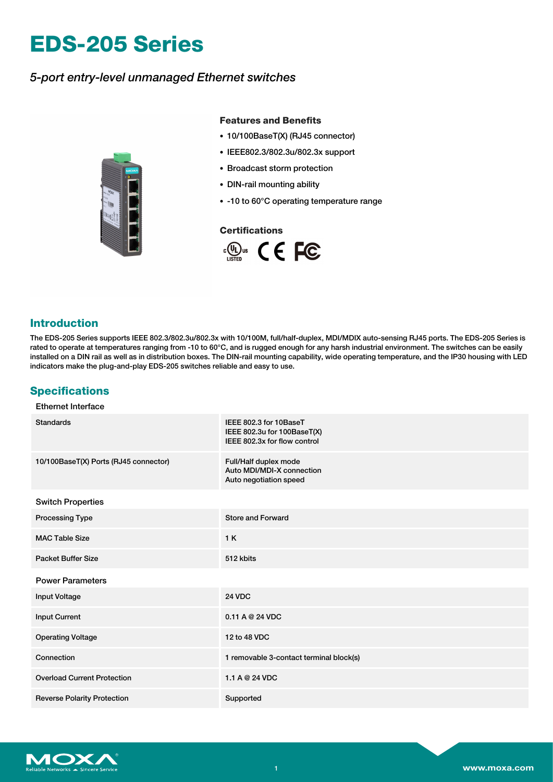# **EDS-205 Series**

## *5-port entry-level unmanaged Ethernet switches*



### **Features and Benefits**

- 10/100BaseT(X) (RJ45 connector)
- IEEE802.3/802.3u/802.3x support
- Broadcast storm protection
- DIN-rail mounting ability
- -10 to 60°C operating temperature range

## **Certifications**



## **Introduction**

The EDS-205 Series supports IEEE 802.3/802.3u/802.3x with 10/100M, full/half-duplex, MDI/MDIX auto-sensing RJ45 ports. The EDS-205 Series is rated to operate at temperatures ranging from -10 to 60°C, and is rugged enough for any harsh industrial environment. The switches can be easily installed on a DIN rail as well as in distribution boxes. The DIN-rail mounting capability, wide operating temperature, and the IP30 housing with LED indicators make the plug-and-play EDS-205 switches reliable and easy to use.

## **Specifications**

#### Ethernet Interface

| <b>Standards</b>                      | IEEE 802.3 for 10BaseT<br>IEEE 802.3u for 100BaseT(X)<br>IEEE 802.3x for flow control |
|---------------------------------------|---------------------------------------------------------------------------------------|
| 10/100BaseT(X) Ports (RJ45 connector) | Full/Half duplex mode<br>Auto MDI/MDI-X connection<br>Auto negotiation speed          |
| <b>Switch Properties</b>              |                                                                                       |
| <b>Processing Type</b>                | <b>Store and Forward</b>                                                              |
| <b>MAC Table Size</b>                 | 1 K                                                                                   |
| <b>Packet Buffer Size</b>             | 512 kbits                                                                             |
| <b>Power Parameters</b>               |                                                                                       |
| <b>Input Voltage</b>                  | <b>24 VDC</b>                                                                         |
| <b>Input Current</b>                  | 0.11 A @ 24 VDC                                                                       |
| <b>Operating Voltage</b>              | 12 to 48 VDC                                                                          |
| Connection                            | 1 removable 3-contact terminal block(s)                                               |
| <b>Overload Current Protection</b>    | 1.1 A @ 24 VDC                                                                        |
| <b>Reverse Polarity Protection</b>    | Supported                                                                             |

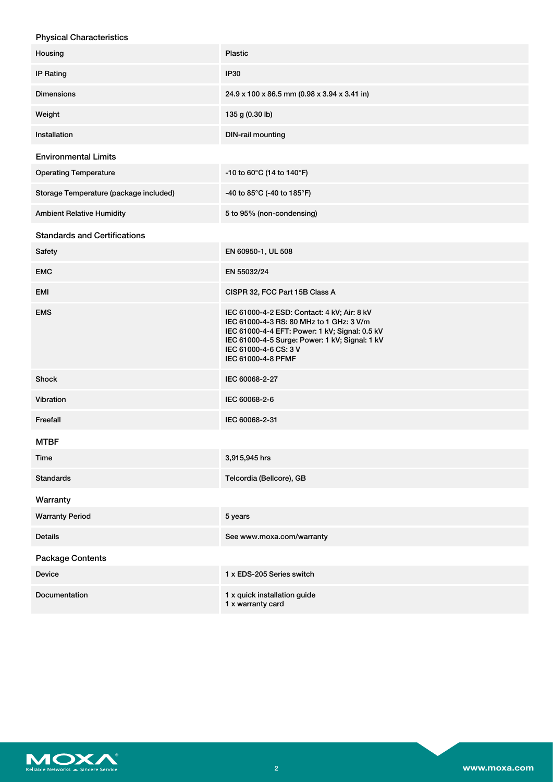| <b>Physical Characteristics</b>        |                                                                                                                                                                                                                                            |
|----------------------------------------|--------------------------------------------------------------------------------------------------------------------------------------------------------------------------------------------------------------------------------------------|
| Housing                                | <b>Plastic</b>                                                                                                                                                                                                                             |
| <b>IP Rating</b>                       | <b>IP30</b>                                                                                                                                                                                                                                |
| <b>Dimensions</b>                      | 24.9 x 100 x 86.5 mm (0.98 x 3.94 x 3.41 in)                                                                                                                                                                                               |
| Weight                                 | 135 g (0.30 lb)                                                                                                                                                                                                                            |
| Installation                           | DIN-rail mounting                                                                                                                                                                                                                          |
| <b>Environmental Limits</b>            |                                                                                                                                                                                                                                            |
| <b>Operating Temperature</b>           | -10 to 60°C (14 to 140°F)                                                                                                                                                                                                                  |
| Storage Temperature (package included) | -40 to 85°C (-40 to 185°F)                                                                                                                                                                                                                 |
| <b>Ambient Relative Humidity</b>       | 5 to 95% (non-condensing)                                                                                                                                                                                                                  |
| <b>Standards and Certifications</b>    |                                                                                                                                                                                                                                            |
| Safety                                 | EN 60950-1, UL 508                                                                                                                                                                                                                         |
| <b>EMC</b>                             | EN 55032/24                                                                                                                                                                                                                                |
| <b>EMI</b>                             | CISPR 32, FCC Part 15B Class A                                                                                                                                                                                                             |
| <b>EMS</b>                             | IEC 61000-4-2 ESD: Contact: 4 kV; Air: 8 kV<br>IEC 61000-4-3 RS: 80 MHz to 1 GHz: 3 V/m<br>IEC 61000-4-4 EFT: Power: 1 kV; Signal: 0.5 kV<br>IEC 61000-4-5 Surge: Power: 1 kV; Signal: 1 kV<br>IEC 61000-4-6 CS: 3 V<br>IEC 61000-4-8 PFMF |
| Shock                                  | IEC 60068-2-27                                                                                                                                                                                                                             |
| Vibration                              | IEC 60068-2-6                                                                                                                                                                                                                              |
| Freefall                               | IEC 60068-2-31                                                                                                                                                                                                                             |
| <b>MTBF</b>                            |                                                                                                                                                                                                                                            |
| Time                                   | 3,915,945 hrs                                                                                                                                                                                                                              |
| <b>Standards</b>                       | Telcordia (Bellcore), GB                                                                                                                                                                                                                   |
| Warranty                               |                                                                                                                                                                                                                                            |
| <b>Warranty Period</b>                 | 5 years                                                                                                                                                                                                                                    |
| <b>Details</b>                         | See www.moxa.com/warranty                                                                                                                                                                                                                  |
| <b>Package Contents</b>                |                                                                                                                                                                                                                                            |
| <b>Device</b>                          | 1 x EDS-205 Series switch                                                                                                                                                                                                                  |
| Documentation                          | 1 x quick installation guide<br>1 x warranty card                                                                                                                                                                                          |